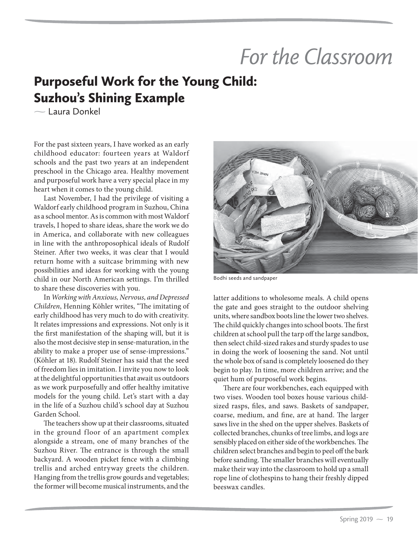## *For the Classroom*

## Purposeful Work for the Young Child: Suzhou's Shining Example

 $\sim$  Laura Donkel

For the past sixteen years, I have worked as an early childhood educator: fourteen years at Waldorf schools and the past two years at an independent preschool in the Chicago area. Healthy movement and purposeful work have a very special place in my heart when it comes to the young child.

Last November, I had the privilege of visiting a Waldorf early childhood program in Suzhou, China as a school mentor. As is common with most Waldorf travels, I hoped to share ideas, share the work we do in America, and collaborate with new colleagues in line with the anthroposophical ideals of Rudolf Steiner. After two weeks, it was clear that I would return home with a suitcase brimming with new possibilities and ideas for working with the young child in our North American settings. I'm thrilled to share these discoveries with you.

In *Working with Anxious, Nervous, and Depressed Children*, Henning Köhler writes, "The imitating of early childhood has very much to do with creativity. It relates impressions and expressions. Not only is it the first manifestation of the shaping will, but it is also the most decisive step in sense-maturation, in the ability to make a proper use of sense-impressions." (Köhler at 18). Rudolf Steiner has said that the seed of freedom lies in imitation. I invite you now to look at the delightful opportunities that await us outdoors as we work purposefully and offer healthy imitative models for the young child. Let's start with a day in the life of a Suzhou child's school day at Suzhou Garden School.

The teachers show up at their classrooms, situated in the ground floor of an apartment complex alongside a stream, one of many branches of the Suzhou River. The entrance is through the small backyard. A wooden picket fence with a climbing trellis and arched entryway greets the children. Hanging from the trellis grow gourds and vegetables; the former will become musical instruments, and the



Bodhi seeds and sandpaper

latter additions to wholesome meals. A child opens the gate and goes straight to the outdoor shelving units, where sandbox boots line the lower two shelves. The child quickly changes into school boots. The first children at school pull the tarp off the large sandbox, then select child-sized rakes and sturdy spades to use in doing the work of loosening the sand. Not until the whole box of sand is completely loosened do they begin to play. In time, more children arrive; and the quiet hum of purposeful work begins.

There are four workbenches, each equipped with two vises. Wooden tool boxes house various childsized rasps, files, and saws. Baskets of sandpaper, coarse, medium, and fine, are at hand. The larger saws live in the shed on the upper shelves. Baskets of collected branches, chunks of tree limbs, and logs are sensibly placed on either side of the workbenches. The children select branches and begin to peel off the bark before sanding. The smaller branches will eventually make their way into the classroom to hold up a small rope line of clothespins to hang their freshly dipped beeswax candles.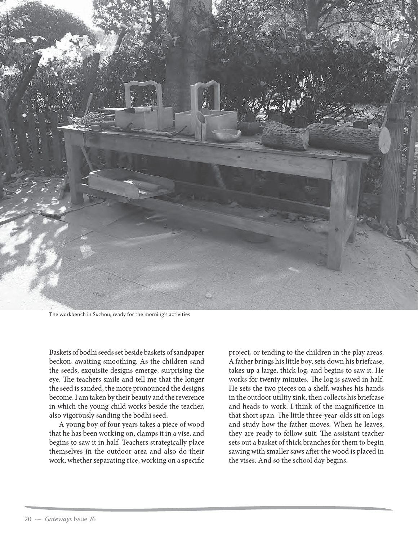

The workbench in Suzhou, ready for the morning's activities

Baskets of bodhi seeds set beside baskets of sandpaper beckon, awaiting smoothing. As the children sand the seeds, exquisite designs emerge, surprising the eye. The teachers smile and tell me that the longer the seed is sanded, the more pronounced the designs become. I am taken by their beauty and the reverence in which the young child works beside the teacher, also vigorously sanding the bodhi seed.

A young boy of four years takes a piece of wood that he has been working on, clamps it in a vise, and begins to saw it in half. Teachers strategically place themselves in the outdoor area and also do their work, whether separating rice, working on a specific

project, or tending to the children in the play areas. A father brings his little boy, sets down his briefcase, takes up a large, thick log, and begins to saw it. He works for twenty minutes. The log is sawed in half. He sets the two pieces on a shelf, washes his hands in the outdoor utility sink, then collects his briefcase and heads to work. I think of the magnificence in that short span. The little three-year-olds sit on logs and study how the father moves. When he leaves, they are ready to follow suit. The assistant teacher sets out a basket of thick branches for them to begin sawing with smaller saws after the wood is placed in the vises. And so the school day begins.